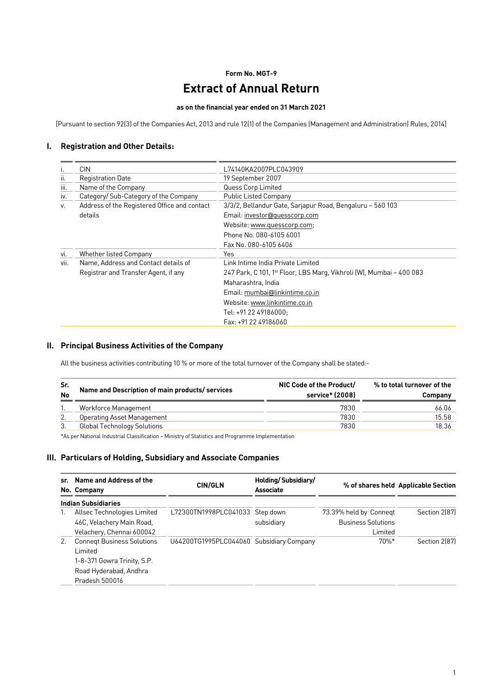# **Form No. MGT-9**

# **Extract of Annual Return**

#### **as on the financial year ended on 31 March 2021**

[Pursuant to section 92(3) of the Companies Act, 2013 and rule 12(1) of the Companies (Management and Administration) Rules, 2014]

#### **I. Registration and Other Details:**

| Τ.   | <b>CIN</b>                                   | L74140KA2007PLC043909                                                            |
|------|----------------------------------------------|----------------------------------------------------------------------------------|
| ii.  | <b>Registration Date</b>                     | 19 September 2007                                                                |
| Ш.   | Name of the Company                          | Quess Corp Limited                                                               |
| İV.  | Category/ Sub-Category of the Company        | <b>Public Listed Company</b>                                                     |
| v.   | Address of the Registered Office and contact | 3/3/2, Bellandur Gate, Sarjapur Road, Bengaluru - 560 103                        |
|      | details                                      | Email: investor@quesscorp.com                                                    |
|      |                                              | Website: www.quesscorp.com;                                                      |
|      |                                              | Phone No. 080-6105 6001                                                          |
|      |                                              | Fax No. 080-6105 6406                                                            |
| vi.  | Whether listed Company                       | Yes                                                                              |
| VII. | Name, Address and Contact details of         | Link Intime India Private Limited                                                |
|      | Registrar and Transfer Agent, if any         | 247 Park, C 101, 1 <sup>st</sup> Floor, LBS Marg, Vikhroli (W), Mumbai - 400 083 |
|      |                                              | Maharashtra, India                                                               |
|      |                                              | Email: mumbai@linkintime.co.in                                                   |
|      |                                              | Website: www.linkintime.co.in                                                    |
|      |                                              | Tel: +91 22 49186000:                                                            |
|      |                                              | Fax: +91 22 49186060                                                             |

#### **II. Principal Business Activities of the Company**

All the business activities contributing 10 % or more of the total turnover of the Company shall be stated:-

| Sr.<br><b>No</b> | Name and Description of main products/services | NIC Code of the Product/<br>service* (2008) | % to total turnover of the<br>Company |  |
|------------------|------------------------------------------------|---------------------------------------------|---------------------------------------|--|
|                  | Workforce Management                           | 7830                                        | 66.06                                 |  |
|                  | Operating Asset Management                     | 7830                                        | 15.58                                 |  |
|                  | <b>Global Technology Solutions</b>             | 7830                                        | 18.36                                 |  |

\*As per National Industrial Classification – Ministry of Statistics and Programme Implementation

#### **III. Particulars of Holding, Subsidiary and Associate Companies**

| sr. | Name and Address of the<br>No. Company                                                                                  | <b>CIN/GLN</b>                           | Holding/Subsidiary/<br>Associate |                                                                | % of shares held Applicable Section |
|-----|-------------------------------------------------------------------------------------------------------------------------|------------------------------------------|----------------------------------|----------------------------------------------------------------|-------------------------------------|
|     | <b>Indian Subsidiaries</b>                                                                                              |                                          |                                  |                                                                |                                     |
| 1.  | Allsec Technologies Limited<br>46C, Velachery Main Road,<br>Velachery, Chennai 600042                                   | L72300TN1998PLC041033 Step down          | subsidiary                       | 73.39% held by Connegt<br><b>Business Solutions</b><br>Limited | Section 2(87)                       |
| 2.  | <b>Connegt Business Solutions</b><br>Limited<br>1-8-371 Gowra Trinity, S.P.<br>Road Hyderabad, Andhra<br>Pradesh 500016 | U64200TG1995PLC044060 Subsidiary Company |                                  | $70\%*$                                                        | Section 2(87)                       |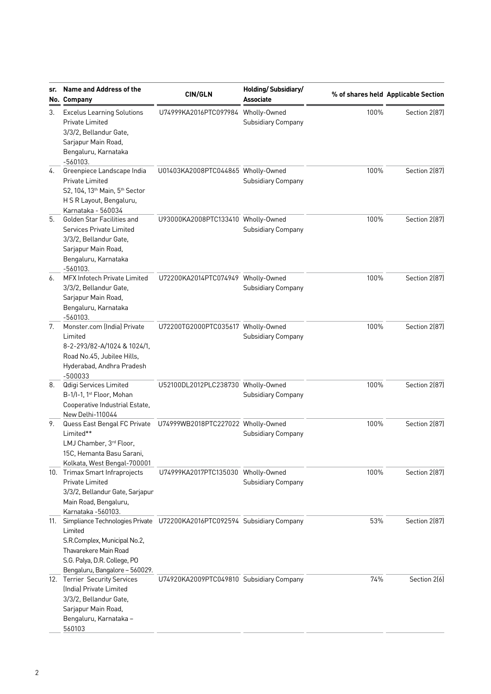| sr. | Name and Address of the<br>No. Company                                                                                                                                                                         | <b>CIN/GLN</b>                           | Holding/Subsidiary/<br><b>Associate</b> |      | % of shares held Applicable Section |
|-----|----------------------------------------------------------------------------------------------------------------------------------------------------------------------------------------------------------------|------------------------------------------|-----------------------------------------|------|-------------------------------------|
| 3.  | <b>Excelus Learning Solutions</b><br>Private Limited<br>3/3/2, Bellandur Gate,<br>Sarjapur Main Road,<br>Bengaluru, Karnataka                                                                                  | U74999KA2016PTC097984 Wholly-Owned       | Subsidiary Company                      | 100% | Section 2(87)                       |
| 4.  | $-560103.$<br>Greenpiece Landscape India<br>Private Limited<br>S2, 104, 13 <sup>th</sup> Main, 5 <sup>th</sup> Sector<br>H S R Layout, Bengaluru,                                                              | U01403KA2008PTC044865 Wholly-Owned       | Subsidiary Company                      | 100% | Section 2(87)                       |
| 5.  | Karnataka - 560034<br><b>Golden Star Facilities and</b><br>Services Private Limited<br>3/3/2, Bellandur Gate,<br>Sarjapur Main Road,<br>Bengaluru, Karnataka<br>$-560103.$                                     | U93000KA2008PTC133410 Wholly-Owned       | Subsidiary Company                      | 100% | Section 2(87)                       |
| 6.  | MFX Infotech Private Limited<br>3/3/2, Bellandur Gate,<br>Sarjapur Main Road,<br>Bengaluru, Karnataka<br>$-560103.$                                                                                            | U72200KA2014PTC074949 Wholly-Owned       | <b>Subsidiary Company</b>               | 100% | Section 2(87)                       |
| 7.  | Monster.com (India) Private<br>Limited<br>8-2-293/82-A/1024 & 1024/1,<br>Road No.45, Jubilee Hills,<br>Hyderabad, Andhra Pradesh<br>$-500033$                                                                  | U72200TG2000PTC035617 Wholly-Owned       | <b>Subsidiary Company</b>               | 100% | Section 2(87)                       |
| 8.  | Qdigi Services Limited<br>B-1/I-1, 1st Floor, Mohan<br>Cooperative Industrial Estate,<br>New Delhi-110044                                                                                                      | U52100DL2012PLC238730 Wholly-Owned       | Subsidiary Company                      | 100% | Section 2(87)                       |
| 9.  | Quess East Bengal FC Private<br>Limited**<br>LMJ Chamber, 3rd Floor,<br>15C, Hemanta Basu Sarani,<br>Kolkata, West Bengal-700001                                                                               | U74999WB2018PTC227022 Wholly-Owned       | Subsidiary Company                      | 100% | Section 2(87)                       |
|     | 10. Trimax Smart Infraprojects<br>Private Limited<br>3/3/2, Bellandur Gate, Sarjapur<br>Main Road, Bengaluru,<br>Karnataka -560103.                                                                            | U74999KA2017PTC135030 Wholly-Owned       | Subsidiary Company                      | 100% | Section 2(87)                       |
| 11. | Simpliance Technologies Private U72200KA2016PTC092594 Subsidiary Company<br>Limited<br>S.R.Complex, Municipal No.2,<br>Thavarekere Main Road<br>S.G. Palya, D.R. College, PO<br>Bengaluru, Bangalore - 560029. |                                          |                                         | 53%  | Section 2(87)                       |
|     | 12. Terrier Security Services<br>(India) Private Limited<br>3/3/2, Bellandur Gate,<br>Sarjapur Main Road,<br>Bengaluru, Karnataka -<br>560103                                                                  | U74920KA2009PTC049810 Subsidiary Company |                                         | 74%  | Section 2(6)                        |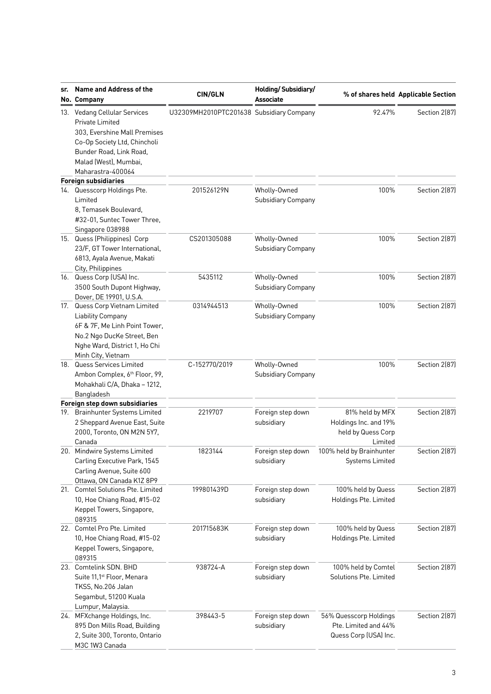| sr. | Name and Address of the<br>No. Company                                                                                                                                                   | <b>CIN/GLN</b>                           | Holding/Subsidiary/<br><b>Associate</b>   |                                                                           | % of shares held Applicable Section |
|-----|------------------------------------------------------------------------------------------------------------------------------------------------------------------------------------------|------------------------------------------|-------------------------------------------|---------------------------------------------------------------------------|-------------------------------------|
|     | 13. Vedang Cellular Services<br>Private Limited<br>303, Evershine Mall Premises<br>Co-Op Society Ltd, Chincholi<br>Bunder Road, Link Road,<br>Malad (West), Mumbai,<br>Maharastra-400064 | U32309MH2010PTC201638 Subsidiary Company |                                           | 92.47%                                                                    | Section 2(87)                       |
|     | <b>Foreign subsidiaries</b>                                                                                                                                                              |                                          |                                           |                                                                           |                                     |
|     | 14. Quesscorp Holdings Pte.<br>Limited<br>8, Temasek Boulevard,<br>#32-01, Suntec Tower Three,                                                                                           | 201526129N                               | Wholly-Owned<br>Subsidiary Company        | 100%                                                                      | Section 2(87)                       |
|     | Singapore 038988<br>15. Quess (Philippines) Corp<br>23/F, GT Tower International,<br>6813, Ayala Avenue, Makati<br>City, Philippines                                                     | CS201305088                              | Wholly-Owned<br><b>Subsidiary Company</b> | 100%                                                                      | Section 2(87)                       |
|     | 16. Quess Corp (USA) Inc.<br>3500 South Dupont Highway,<br>Dover, DE 19901, U.S.A.                                                                                                       | 5435112                                  | Wholly-Owned<br>Subsidiary Company        | 100%                                                                      | Section 2(87)                       |
|     | 17. Quess Corp Vietnam Limited<br><b>Liability Company</b><br>6F & 7F, Me Linh Point Tower,<br>No.2 Ngo DucKe Street, Ben<br>Nghe Ward, District 1, Ho Chi<br>Minh City, Vietnam         | 0314944513                               | Wholly-Owned<br>Subsidiary Company        | 100%                                                                      | Section 2(87)                       |
|     | 18. Quess Services Limited<br>Ambon Complex, 6th Floor, 99,<br>Mohakhali C/A, Dhaka - 1212,<br>Bangladesh                                                                                | C-152770/2019                            | Wholly-Owned<br>Subsidiary Company        | 100%                                                                      | Section 2(87)                       |
|     | Foreign step down subsidiaries                                                                                                                                                           |                                          |                                           |                                                                           |                                     |
|     | 19. Brainhunter Systems Limited<br>2 Sheppard Avenue East, Suite<br>2000, Toronto, ON M2N 5Y7,<br>Canada                                                                                 | 2219707                                  | Foreign step down<br>subsidiary           | 81% held by MFX<br>Holdings Inc. and 19%<br>held by Quess Corp<br>Limited | Section 2(87)                       |
|     | 20. Mindwire Systems Limited<br>Carling Executive Park, 1545<br>Carling Avenue, Suite 600<br>Ottawa, ON Canada K1Z 8P9                                                                   | 1823144                                  | Foreign step down<br>subsidiary           | 100% held by Brainhunter<br><b>Systems Limited</b>                        | Section 2(87)                       |
| 21. | Comtel Solutions Pte. Limited<br>10, Hoe Chiang Road, #15-02<br>Keppel Towers, Singapore,<br>089315                                                                                      | 199801439D                               | Foreign step down<br>subsidiary           | 100% held by Quess<br>Holdings Pte. Limited                               | Section 2(87)                       |
|     | 22. Comtel Pro Pte. Limited<br>10, Hoe Chiang Road, #15-02<br>Keppel Towers, Singapore,<br>089315                                                                                        | 201715683K                               | Foreign step down<br>subsidiary           | 100% held by Quess<br>Holdings Pte. Limited                               | Section 2(87)                       |
|     | 23. Comtelink SDN. BHD<br>Suite 11,1 <sup>st</sup> Floor, Menara<br>TKSS, No.206 Jalan<br>Segambut, 51200 Kuala<br>Lumpur, Malaysia.                                                     | 938724-A                                 | Foreign step down<br>subsidiary           | 100% held by Comtel<br>Solutions Pte. Limited                             | Section 2(87)                       |
|     | 24. MFXchange Holdings, Inc.<br>895 Don Mills Road, Building<br>2, Suite 300, Toronto, Ontario<br>M3C 1W3 Canada                                                                         | 398443-5                                 | Foreign step down<br>subsidiary           | 56% Quesscorp Holdings<br>Pte. Limited and 44%<br>Quess Corp (USA) Inc.   | Section 2(87)                       |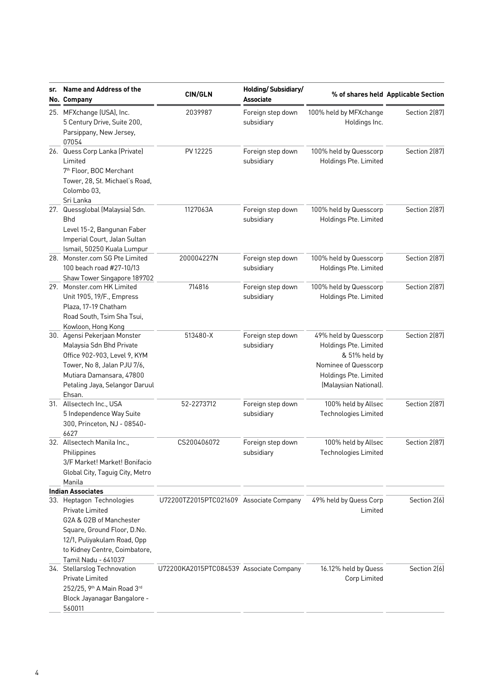| sr. | Name and Address of the<br>No. Company                                                                                                                                                                                    | <b>CIN/GLN</b>                          | Holding/Subsidiary/<br><b>Associate</b> |                                                                                                                                           | % of shares held Applicable Section |
|-----|---------------------------------------------------------------------------------------------------------------------------------------------------------------------------------------------------------------------------|-----------------------------------------|-----------------------------------------|-------------------------------------------------------------------------------------------------------------------------------------------|-------------------------------------|
|     | 25. MFXchange (USA), Inc.<br>5 Century Drive, Suite 200,<br>Parsippany, New Jersey,<br>07054                                                                                                                              | 2039987                                 | Foreign step down<br>subsidiary         | 100% held by MFXchange<br>Holdings Inc.                                                                                                   | Section 2(87)                       |
|     | 26. Quess Corp Lanka (Private)<br>PV 12225<br>Limited<br>7 <sup>th</sup> Floor, BOC Merchant<br>Tower, 28, St. Michael's Road,<br>Colombo 03,<br>Sri Lanka                                                                |                                         | Foreign step down<br>subsidiary         | 100% held by Quesscorp<br>Holdings Pte. Limited                                                                                           | Section 2(87)                       |
|     | 27. Quessglobal (Malaysia) Sdn.<br><b>Bhd</b><br>Level 15-2, Bangunan Faber<br>Imperial Court, Jalan Sultan<br>Ismail, 50250 Kuala Lumpur                                                                                 | 1127063A                                | Foreign step down<br>subsidiary         | 100% held by Quesscorp<br>Holdings Pte. Limited                                                                                           | Section 2(87)                       |
|     | 28. Monster.com SG Pte Limited<br>100 beach road #27-10/13<br>Shaw Tower Singapore 189702                                                                                                                                 | 200004227N                              | Foreign step down<br>subsidiary         | 100% held by Quesscorp<br>Holdings Pte. Limited                                                                                           | Section 2(87)                       |
|     | 29. Monster.com HK Limited<br>Unit 1905, 19/F., Empress<br>Plaza, 17-19 Chatham<br>Road South, Tsim Sha Tsui,<br>Kowloon, Hong Kong                                                                                       | 714816                                  | Foreign step down<br>subsidiary         | 100% held by Quesscorp<br>Holdings Pte. Limited                                                                                           | Section 2(87)                       |
|     | 30. Agensi Pekerjaan Monster<br>Malaysia Sdn Bhd Private<br>Office 902-903, Level 9, KYM<br>Tower, No 8, Jalan PJU 7/6,<br>Mutiara Damansara, 47800<br>Petaling Jaya, Selangor Daruul<br>Ehsan.                           | 513480-X                                | Foreign step down<br>subsidiary         | 49% held by Quesscorp<br>Holdings Pte. Limited<br>& 51% held by<br>Nominee of Quesscorp<br>Holdings Pte. Limited<br>(Malaysian National). | Section 2(87)                       |
|     | 31. Allsectech Inc., USA<br>5 Independence Way Suite<br>300, Princeton, NJ - 08540-<br>6627                                                                                                                               | 52-2273712                              | Foreign step down<br>subsidiary         | 100% held by Allsec<br>Technologies Limited                                                                                               | Section 2(87)                       |
|     | 32. Allsectech Manila Inc.,<br>Philippines<br>3/F Market! Market! Bonifacio<br>Global City, Taguig City, Metro<br>Manila                                                                                                  | CS200406072                             | Foreign step down<br>subsidiary         | 100% held by Allsec<br><b>Technologies Limited</b>                                                                                        | Section 2(87)                       |
|     | <b>Indian Associates</b><br>33. Heptagon Technologies<br>Private Limited<br>G2A & G2B of Manchester<br>Square, Ground Floor, D.No.<br>12/1, Puliyakulam Road, Opp<br>to Kidney Centre, Coimbatore,<br>Tamil Nadu - 641037 | U72200TZ2015PTC021609 Associate Company |                                         | 49% held by Quess Corp<br>Limited                                                                                                         | Section 2(6)                        |
|     | 34. Stellarslog Technovation<br>Private Limited<br>252/25, 9th A Main Road 3rd<br>Block Jayanagar Bangalore -<br>560011                                                                                                   | U72200KA2015PTC084539 Associate Company |                                         | 16.12% held by Quess<br>Corp Limited                                                                                                      | Section 2(6)                        |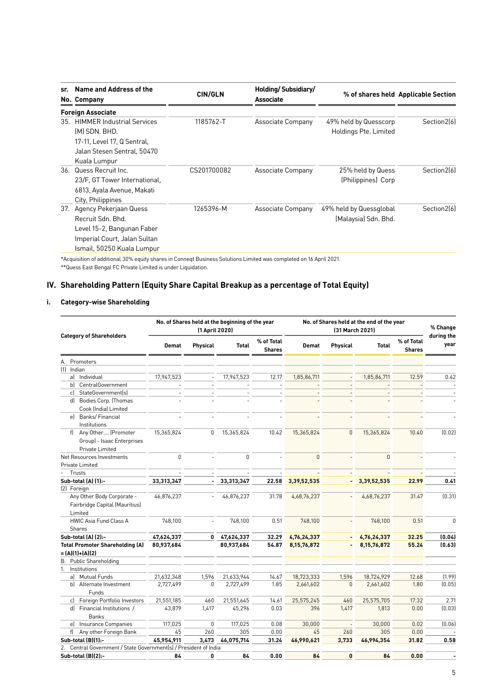| sr. | Name and Address of the<br>No. Company | <b>CIN/GLN</b> | Holding/Subsidiary/<br>Associate |                         | % of shares held Applicable Section |
|-----|----------------------------------------|----------------|----------------------------------|-------------------------|-------------------------------------|
|     | <b>Foreign Associate</b>               |                |                                  |                         |                                     |
| 35. | <b>HIMMER Industrial Services</b>      | 1185762-T      | Associate Company                | 49% held by Quesscorp   | Section2[6]                         |
|     | (M) SDN. BHD.                          |                |                                  | Holdings Pte. Limited   |                                     |
|     | 17-11. Level 17, Q Sentral,            |                |                                  |                         |                                     |
|     | Jalan Stesen Sentral, 50470            |                |                                  |                         |                                     |
|     | Kuala Lumpur                           |                |                                  |                         |                                     |
|     | 36. Quess Recruit Inc.                 | CS201700082    | Associate Company                | 25% held by Quess       | Section2[6]                         |
|     | 23/F. GT Tower International,          |                |                                  | (Philippines) Corp      |                                     |
|     | 6813, Ayala Avenue, Makati             |                |                                  |                         |                                     |
|     | City, Philippines                      |                |                                  |                         |                                     |
| 37. | Agency Pekerjaan Quess                 | 1265396-M      | Associate Company                | 49% held by Quessglobal | Section2[6]                         |
|     | Recruit Sdn. Bhd.                      |                |                                  | (Malaysia) Sdn. Bhd.    |                                     |
|     | Level 15-2, Bangunan Faber             |                |                                  |                         |                                     |
|     | Imperial Court, Jalan Sultan           |                |                                  |                         |                                     |
|     | Ismail, 50250 Kuala Lumpur             |                |                                  |                         |                                     |
|     |                                        |                |                                  |                         |                                     |

\*Acquisition of additional 30% equity shares in Conneqt Business Solutions Limited was completed on 16 April 2021.

\*\*Quess East Bengal FC Private Limited is under Liquidation.

# **IV. Shareholding Pattern (Equity Share Capital Breakup as a percentage of Total Equity)**

#### **i. Category-wise Shareholding**

|                                                                     | No. of Shares held at the beginning of the year<br>(1 April 2020) |                          |              |                             | No. of Shares held at the end of the year<br>(31 March 2021) |                |                |                             | % Change           |
|---------------------------------------------------------------------|-------------------------------------------------------------------|--------------------------|--------------|-----------------------------|--------------------------------------------------------------|----------------|----------------|-----------------------------|--------------------|
| <b>Category of Shareholders</b>                                     | <b>Demat</b>                                                      | Physical                 | <b>Total</b> | % of Total<br><b>Shares</b> | <b>Demat</b>                                                 | Physical       | <b>Total</b>   | % of Total<br><b>Shares</b> | during the<br>year |
| A. Promoters                                                        |                                                                   |                          |              |                             |                                                              |                |                |                             |                    |
| (1) Indian                                                          |                                                                   |                          |              |                             |                                                              |                |                |                             |                    |
| al Individual                                                       | 17,947,523                                                        | $\overline{\phantom{a}}$ | 17,947,523   | 12.17                       | 1,85,86,711                                                  |                | 1,85,86,711    | 12.59                       | 0.42               |
| bl<br>CentralGovernment                                             |                                                                   |                          |              |                             |                                                              |                |                |                             |                    |
| StateGovernment(s)<br>c)                                            |                                                                   |                          |              |                             |                                                              |                |                |                             |                    |
| d) Bodies Corp. (Thomas                                             |                                                                   |                          |              |                             |                                                              |                |                |                             |                    |
| Cook (India) Limited                                                |                                                                   |                          |              |                             |                                                              |                |                |                             |                    |
| el Banks/Financial                                                  |                                                                   |                          |              |                             |                                                              |                |                |                             |                    |
| Institutions                                                        |                                                                   |                          |              |                             |                                                              |                |                |                             |                    |
| f) Any Other (Promoter                                              | 15,365,824                                                        | 0                        | 15,365,824   | 10.42                       | 15,365,824                                                   | $\overline{0}$ | 15,365,824     | 10.40                       | (0.02)             |
| Group) - Isaac Enterprises                                          |                                                                   |                          |              |                             |                                                              |                |                |                             |                    |
| Private Limited                                                     |                                                                   |                          |              |                             |                                                              |                |                |                             |                    |
| Net Resources Investments                                           | $\mathbf 0$                                                       |                          | 0            |                             | $\overline{0}$                                               |                | $\overline{0}$ |                             |                    |
| Private Limited                                                     |                                                                   |                          |              |                             |                                                              |                |                |                             |                    |
| Trusts                                                              |                                                                   |                          |              |                             |                                                              |                |                |                             |                    |
| Sub-total (A) (1):-                                                 | 33,313,347                                                        |                          | 33,313,347   | 22.58                       | 3,39,52,535                                                  | $\overline{a}$ | 3,39,52,535    | 22.99                       | 0.41               |
| (2) Foreign                                                         |                                                                   |                          |              |                             |                                                              |                |                |                             |                    |
| Any Other Body Corporate -                                          | 46,876,237                                                        |                          | 46,876,237   | 31.78                       | 4,68,76,237                                                  |                | 4,68,76,237    | 31.47                       | (0.31)             |
| Fairbridge Capital (Mauritius)                                      |                                                                   |                          |              |                             |                                                              |                |                |                             |                    |
| Limited                                                             |                                                                   |                          |              |                             |                                                              |                |                |                             |                    |
| <b>HWIC Asia Fund Class A</b>                                       | 748,100                                                           |                          | 748,100      | 0.51                        | 748,100                                                      |                | 748,100        | 0.51                        | $\theta$           |
| Shares                                                              |                                                                   |                          |              |                             |                                                              |                |                |                             |                    |
| <b>Sub-total (A) (2):-</b>                                          | 47,624,337                                                        | $\mathbf{0}$             | 47,624,337   | 32.29                       | 4,76,24,337                                                  |                | 4,76,24,337    | 32.25                       | (0.04)             |
| <b>Total Promoter Shareholding (A)</b>                              | 80,937,684                                                        |                          | 80,937,684   | 54.87                       | 8, 15, 76, 872                                               | $\blacksquare$ | 8, 15, 76, 872 | 55.24                       | (0.63)             |
| $= (A)(1)+(A)(2)$                                                   |                                                                   |                          |              |                             |                                                              |                |                |                             |                    |
| B. Public Shareholding                                              |                                                                   |                          |              |                             |                                                              |                |                |                             |                    |
| Institutions<br>1.                                                  |                                                                   |                          |              |                             |                                                              |                |                |                             |                    |
| al Mutual Funds                                                     | 21,632,348                                                        | 1,596                    | 21,633,944   | 14.67                       | 18,723,333                                                   | 1,596          | 18,724,929     | 12.68                       | (1.99)             |
| b) Alternate Investment                                             | 2,727,499                                                         | 0                        | 2,727,499    | 1.85                        | 2,661,602                                                    | $\overline{0}$ | 2,661,602      | 1.80                        | (0.05)             |
| Funds                                                               |                                                                   |                          |              |                             |                                                              |                |                |                             |                    |
| c) Foreign Portfolio Investors                                      | 21,551,185                                                        | 460                      | 21,551,645   | 14.61                       | 25,575,245                                                   | 460            | 25,575,705     | 17.32                       | 2.71               |
| d] Financial Institutions /                                         | 43,879                                                            | 1,417                    | 45,296       | 0.03                        | 396                                                          | 1,417          | 1,813          | 0.00                        | (0.03)             |
| <b>Banks</b>                                                        |                                                                   |                          |              |                             |                                                              |                |                |                             |                    |
| Insurance Companies<br>el                                           | 117,025                                                           | 0                        | 117,025      | 0.08                        | 30,000                                                       |                | 30,000         | 0.02                        | [0.06]             |
| f) Any other Foreign Bank                                           | 45                                                                | 260                      | 305          | 0.00                        | 45                                                           | 260            | 305            | 0.00                        |                    |
| Sub-total (B)(1):-                                                  | 45,954,911                                                        | 3,473                    | 46,075,714   | 31.24                       | 46,990,621                                                   | 3,733          | 46,994,354     | 31.82                       | 0.58               |
| Central Government / State Government(s) / President of India<br>2. |                                                                   |                          |              |                             |                                                              |                |                |                             |                    |
| Sub-total (B)(2):-                                                  | 84                                                                | 0                        | 84           | 0.00                        | 84                                                           | $\bf{0}$       | 84             | 0.00                        |                    |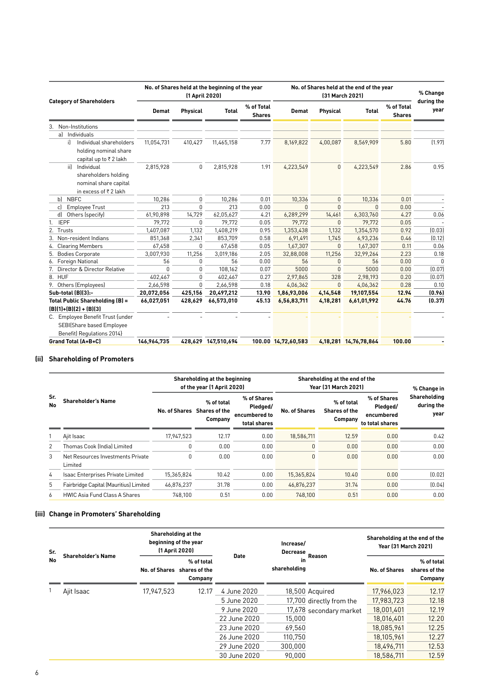| <b>Category of Shareholders</b> |                                                                                             | No. of Shares held at the beginning of the year<br>(1 April 2020) |                 |                     |                             | No. of Shares held at the end of the year<br>[31 March 2021] |                 |                            |                             | % Change           |
|---------------------------------|---------------------------------------------------------------------------------------------|-------------------------------------------------------------------|-----------------|---------------------|-----------------------------|--------------------------------------------------------------|-----------------|----------------------------|-----------------------------|--------------------|
|                                 |                                                                                             | <b>Demat</b>                                                      | <b>Physical</b> | <b>Total</b>        | % of Total<br><b>Shares</b> | <b>Demat</b>                                                 | <b>Physical</b> | <b>Total</b>               | % of Total<br><b>Shares</b> | during the<br>year |
|                                 | 3. Non-Institutions                                                                         |                                                                   |                 |                     |                             |                                                              |                 |                            |                             |                    |
|                                 | al Individuals                                                                              |                                                                   |                 |                     |                             |                                                              |                 |                            |                             |                    |
|                                 | Individual shareholders<br>iÌ.<br>holding nominal share<br>capital up to ₹2 lakh            | 11,054,731                                                        | 410,427         | 11,465,158          | 7.77                        | 8,169,822                                                    | 4,00,087        | 8,569,909                  | 5.80                        | (1.97)             |
|                                 | Individual<br>iil.<br>shareholders holding<br>nominal share capital<br>in excess of ₹2 lakh | 2,815,928                                                         | $\mathbf{0}$    | 2,815,928           | 1.91                        | 4,223,549                                                    | $\Omega$        | 4,223,549                  | 2.86                        | 0.95               |
| bl                              | <b>NBFC</b>                                                                                 | 10.286                                                            | $\mathbf{0}$    | 10,286              | 0.01                        | 10,336                                                       | $\Omega$        | 10,336                     | 0.01                        |                    |
| c)                              | <b>Employee Trust</b>                                                                       | 213                                                               | $\Omega$        | 213                 | 0.00                        | $\Omega$                                                     | $\Omega$        | n                          | 0.00                        |                    |
| d)                              | Others (specify)                                                                            | 61,90,898                                                         | 14,729          | 62,05,627           | 4.21                        | 6,289,299                                                    | 14,461          | 6,303,760                  | 4.27                        | 0.06               |
| <b>IEPF</b><br>1.               |                                                                                             | 79,772                                                            | $\Omega$        | 79,772              | 0.05                        | 79,772                                                       | $\Omega$        | 79,772                     | 0.05                        |                    |
| 2.                              | Trusts                                                                                      | 1,407,087                                                         | 1,132           | 1,408,219           | 0.95                        | 1,353,438                                                    | 1,132           | 1,354,570                  | 0.92                        | (0.03)             |
|                                 | 3. Non-resident Indians                                                                     | 851,368                                                           | 2,341           | 853,709             | 0.58                        | 6,91,491                                                     | 1.745           | 6,93,236                   | 0.46                        | (0.12)             |
| 4.                              | <b>Clearing Members</b>                                                                     | 67,458                                                            | 0               | 67,458              | 0.05                        | 1,67,307                                                     | $\mathbf{0}$    | 1,67,307                   | 0.11                        | 0.06               |
| 5.                              | <b>Bodies Corporate</b>                                                                     | 3,007,930                                                         | 11,256          | 3,019,186           | 2.05                        | 32,88,008                                                    | 11,256          | 32,99,264                  | 2.23                        | 0.18               |
| 6.                              | Foreign National                                                                            | 56                                                                | 0               | 56                  | 0.00                        | 56                                                           | $\Omega$        | 56                         | 0.00                        | $\theta$           |
|                                 | 7. Director & Director Relative                                                             | 0                                                                 | $\mathbf{0}$    | 108.162             | 0.07                        | 5000                                                         | $\Omega$        | 5000                       | 0.00                        | (0.07)             |
| 8. HUF                          |                                                                                             | 402,467                                                           | $\Omega$        | 402,467             | 0.27                        | 2,97,865                                                     | 328             | 2.98.193                   | 0.20                        | (0.07)             |
|                                 | 9. Others (Employees)                                                                       | 2,66,598                                                          | <sup>n</sup>    | 2,66,598            | 0.18                        | 4,06,362                                                     | $\Omega$        | 4.06.362                   | 0.28                        | 0.10               |
|                                 | Sub-total (B)(3):-                                                                          | 20,072,056                                                        | 425,156         | 20,497,212          | 13.90                       | 1,86,93,006                                                  | 4,14,548        | 19,107,554                 | 12.94                       | (0.96)             |
|                                 | Total Public Shareholding (B) =                                                             | 66,027,051                                                        | 428.629         | 66,573,010          | 45.13                       | 6,56,83,711                                                  | 4,18,281        | 6,61,01,992                | 44.76                       | (0.37)             |
|                                 | $[B](1)+(B)(2)+(B)(3)$                                                                      |                                                                   |                 |                     |                             |                                                              |                 |                            |                             |                    |
|                                 | C. Employee Benefit Trust {under                                                            |                                                                   |                 |                     |                             |                                                              |                 |                            |                             |                    |
|                                 | SEBI(Share based Employee                                                                   |                                                                   |                 |                     |                             |                                                              |                 |                            |                             |                    |
|                                 | Benefit) Regulations 2014}                                                                  |                                                                   |                 |                     |                             |                                                              |                 |                            |                             |                    |
|                                 | Grand Total (A+B+C)                                                                         | 146,964,735                                                       |                 | 428,629 147,510,694 |                             | 100.00 14,72,60,583                                          |                 | 4, 18, 281 14, 76, 78, 864 | 100.00                      |                    |

# **(ii) Shareholding of Promoters**

|           |                                              |            | Shareholding at the beginning<br>of the year (1 April 2020) |                                                          | Shareholding at the end of the<br><b>Year (31 March 2021)</b> | % Change in                            |                                                          |                                    |
|-----------|----------------------------------------------|------------|-------------------------------------------------------------|----------------------------------------------------------|---------------------------------------------------------------|----------------------------------------|----------------------------------------------------------|------------------------------------|
| Sr.<br>No | <b>Shareholder's Name</b>                    |            | % of total<br>No. of Shares Shares of the<br>Company        | % of Shares<br>Pledged/<br>encumbered to<br>total shares | <b>No. of Shares</b>                                          | % of total<br>Shares of the<br>Company | % of Shares<br>Pledged/<br>encumbered<br>to total shares | Shareholding<br>during the<br>year |
|           | Ajit Isaac                                   | 17.947.523 | 12.17                                                       | 0.00                                                     | 18,586,711                                                    | 12.59                                  | 0.00                                                     | 0.42                               |
| 2         | Thomas Cook (India) Limited                  | 0          | 0.00                                                        | 0.00                                                     | $\mathbf{0}$                                                  | 0.00                                   | 0.00                                                     | 0.00                               |
| 3         | Net Resources Investments Private<br>Limited | 0          | 0.00                                                        | 0.00                                                     | $\mathbf{0}$                                                  | 0.00                                   | 0.00                                                     | 0.00                               |
| 4         | Isaac Enterprises Private Limited            | 15,365,824 | 10.42                                                       | 0.00                                                     | 15,365,824                                                    | 10.40                                  | 0.00                                                     | (0.02)                             |
| 5         | Fairbridge Capital (Mauritius) Limited       | 46.876.237 | 31.78                                                       | 0.00                                                     | 46.876.237                                                    | 31.74                                  | 0.00                                                     | [0.04]                             |
| 6         | <b>HWIC Asia Fund Class A Shares</b>         | 748.100    | 0.51                                                        | 0.00                                                     | 748,100                                                       | 0.51                                   | 0.00                                                     | 0.00                               |

# **(iii) Change in Promoters' Shareholding**

| Sr. | <b>Shareholder's Name</b> | Shareholding at the<br>beginning of the year<br>(1 April 2020) |                                        | Increase/<br>Decrease<br>Date | Reason             | Shareholding at the end of the<br><b>Year (31 March 2021)</b> |                      |                                               |
|-----|---------------------------|----------------------------------------------------------------|----------------------------------------|-------------------------------|--------------------|---------------------------------------------------------------|----------------------|-----------------------------------------------|
| No  |                           | No. of Shares                                                  | % of total<br>shares of the<br>Company |                               | in<br>shareholding |                                                               | <b>No. of Shares</b> | % of total<br>shares of the<br><b>Company</b> |
|     | Ajit Isaac                | 17,947,523                                                     | 12.17                                  | 4 June 2020                   |                    | 18,500 Acquired                                               | 17,966,023           | 12.17                                         |
|     |                           |                                                                |                                        | 5 June 2020                   |                    | 17,700 directly from the                                      | 17,983,723           | 12.18                                         |
|     |                           |                                                                |                                        | 9 June 2020                   |                    | 17,678 secondary market                                       | 18.001.401           | 12.19                                         |
|     |                           |                                                                |                                        | 22 June 2020                  | 15,000             |                                                               | 18.016.401           | 12.20                                         |
|     |                           |                                                                |                                        | 23 June 2020                  | 69.560             |                                                               | 18.085.961           | 12.25                                         |
|     |                           |                                                                |                                        | 26 June 2020                  | 110.750            |                                                               | 18.105.961           | 12.27                                         |
|     |                           |                                                                |                                        | 29 June 2020                  | 300.000            |                                                               | 18,496,711           | 12.53                                         |
|     |                           |                                                                |                                        | 30 June 2020                  | 90.000             |                                                               | 18,586,711           | 12.59                                         |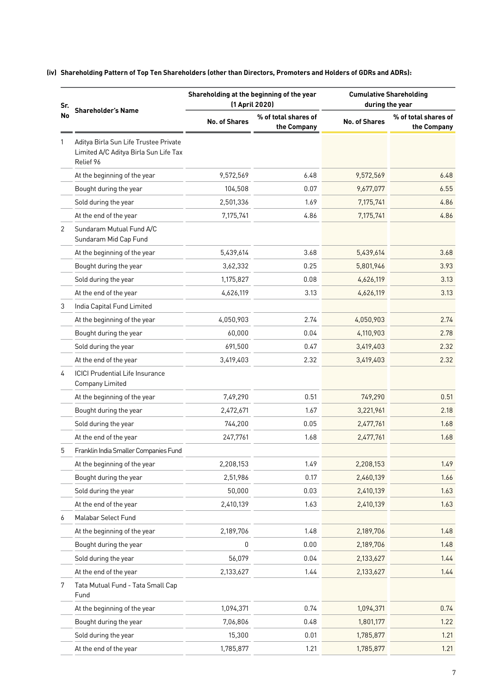| Sr. |                                                                                             |                      | Shareholding at the beginning of the year<br>(1 April 2020) | <b>Cumulative Shareholding</b><br>during the year |                                     |  |
|-----|---------------------------------------------------------------------------------------------|----------------------|-------------------------------------------------------------|---------------------------------------------------|-------------------------------------|--|
| No  | <b>Shareholder's Name</b>                                                                   | <b>No. of Shares</b> | % of total shares of<br>the Company                         | <b>No. of Shares</b>                              | % of total shares of<br>the Company |  |
|     | Aditya Birla Sun Life Trustee Private<br>Limited A/C Aditya Birla Sun Life Tax<br>Relief 96 |                      |                                                             |                                                   |                                     |  |
|     | At the beginning of the year                                                                | 9,572,569            | 6.48                                                        | 9,572,569                                         | 6.48                                |  |
|     | Bought during the year                                                                      | 104,508              | 0.07                                                        | 9,677,077                                         | 6.55                                |  |
|     | Sold during the year                                                                        | 2,501,336            | 1.69                                                        | 7,175,741                                         | 4.86                                |  |
|     | At the end of the year                                                                      | 7,175,741            | 4.86                                                        | 7,175,741                                         | 4.86                                |  |
| 2   | Sundaram Mutual Fund A/C<br>Sundaram Mid Cap Fund                                           |                      |                                                             |                                                   |                                     |  |
|     | At the beginning of the year                                                                | 5,439,614            | 3.68                                                        | 5,439,614                                         | 3.68                                |  |
|     | Bought during the year                                                                      | 3,62,332             | 0.25                                                        | 5,801,946                                         | 3.93                                |  |
|     | Sold during the year                                                                        | 1,175,827            | 0.08                                                        | 4,626,119                                         | 3.13                                |  |
|     | At the end of the year                                                                      | 4,626,119            | 3.13                                                        | 4,626,119                                         | 3.13                                |  |
| 3   | India Capital Fund Limited                                                                  |                      |                                                             |                                                   |                                     |  |
|     | At the beginning of the year                                                                | 4,050,903            | 2.74                                                        | 4,050,903                                         | 2.74                                |  |
|     | Bought during the year                                                                      | 60,000               | 0.04                                                        | 4,110,903                                         | 2.78                                |  |
|     | Sold during the year                                                                        | 691,500              | 0.47                                                        | 3,419,403                                         | 2.32                                |  |
|     | At the end of the year                                                                      | 3,419,403            | 2.32                                                        | 3,419,403                                         | 2.32                                |  |
| 4   | <b>ICICI Prudential Life Insurance</b><br><b>Company Limited</b>                            |                      |                                                             |                                                   |                                     |  |
|     | At the beginning of the year                                                                | 7,49,290             | 0.51                                                        | 749,290                                           | 0.51                                |  |
|     | Bought during the year                                                                      | 2,472,671            | 1.67                                                        | 3,221,961                                         | 2.18                                |  |
|     | Sold during the year                                                                        | 744,200              | 0.05                                                        | 2,477,761                                         | 1.68                                |  |
|     | At the end of the year                                                                      | 247,7761             | 1.68                                                        | 2,477,761                                         | 1.68                                |  |
| 5   | Franklin India Smaller Companies Fund                                                       |                      |                                                             |                                                   |                                     |  |
|     | At the beginning of the year                                                                | 2,208,153            | 1.49                                                        | 2,208,153                                         | 1.49                                |  |
|     | Bought during the year                                                                      | 2,51,986             | 0.17                                                        | 2,460,139                                         | 1.66                                |  |
|     | Sold during the year                                                                        | 50,000               | 0.03                                                        | 2,410,139                                         | 1.63                                |  |
|     | At the end of the year                                                                      | 2,410,139            | 1.63                                                        | 2,410,139                                         | 1.63                                |  |
| 6   | Malabar Select Fund                                                                         |                      |                                                             |                                                   |                                     |  |
|     | At the beginning of the year                                                                | 2,189,706            | 1.48                                                        | 2,189,706                                         | 1.48                                |  |
|     | Bought during the year                                                                      | 0                    | 0.00                                                        | 2,189,706                                         | 1.48                                |  |
|     | Sold during the year                                                                        | 56,079               | 0.04                                                        | 2,133,627                                         | 1.44                                |  |
|     | At the end of the year                                                                      | 2,133,627            | 1.44                                                        | 2,133,627                                         | 1.44                                |  |
| 7   | Tata Mutual Fund - Tata Small Cap<br>Fund                                                   |                      |                                                             |                                                   |                                     |  |
|     | At the beginning of the year                                                                | 1,094,371            | 0.74                                                        | 1,094,371                                         | 0.74                                |  |
|     | Bought during the year                                                                      | 7,06,806             | 0.48                                                        | 1,801,177                                         | 1.22                                |  |
|     | Sold during the year                                                                        | 15,300               | 0.01                                                        | 1,785,877                                         | 1.21                                |  |
|     | At the end of the year                                                                      | 1,785,877            | 1.21                                                        | 1,785,877                                         | 1.21                                |  |

#### **(iv) Shareholding Pattern of Top Ten Shareholders (other than Directors, Promoters and Holders of GDRs and ADRs):**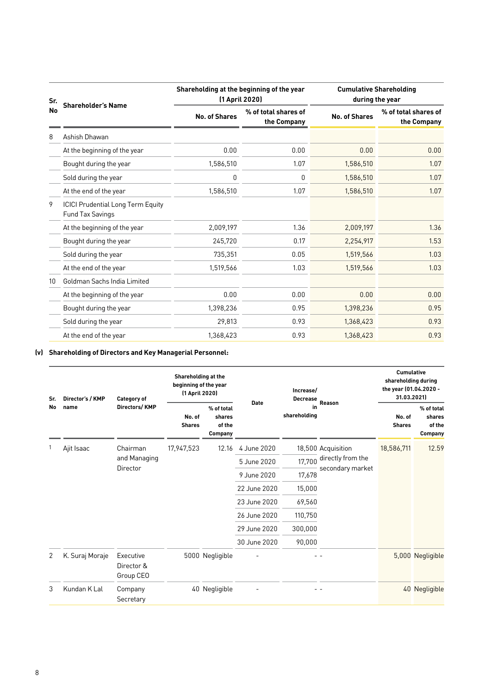| Sr. | <b>Shareholder's Name</b>                                    | Shareholding at the beginning of the year | (1 April 2020)                      | <b>Cumulative Shareholding</b><br>during the year |                                     |  |
|-----|--------------------------------------------------------------|-------------------------------------------|-------------------------------------|---------------------------------------------------|-------------------------------------|--|
| No  |                                                              | <b>No. of Shares</b>                      | % of total shares of<br>the Company | <b>No. of Shares</b>                              | % of total shares of<br>the Company |  |
| 8   | Ashish Dhawan                                                |                                           |                                     |                                                   |                                     |  |
|     | At the beginning of the year                                 | 0.00                                      | 0.00                                | 0.00                                              | 0.00                                |  |
|     | Bought during the year                                       | 1,586,510                                 | 1.07                                | 1,586,510                                         | 1.07                                |  |
|     | Sold during the year                                         | 0                                         | 0                                   | 1,586,510                                         | 1.07                                |  |
|     | At the end of the year                                       | 1,586,510                                 | 1.07                                | 1,586,510                                         | 1.07                                |  |
| 9   | <b>ICICI Prudential Long Term Equity</b><br>Fund Tax Savings |                                           |                                     |                                                   |                                     |  |
|     | At the beginning of the year                                 | 2,009,197                                 | 1.36                                | 2,009,197                                         | 1.36                                |  |
|     | Bought during the year                                       | 245,720                                   | 0.17                                | 2,254,917                                         | 1.53                                |  |
|     | Sold during the year                                         | 735,351                                   | 0.05                                | 1,519,566                                         | 1.03                                |  |
|     | At the end of the year                                       | 1,519,566                                 | 1.03                                | 1,519,566                                         | 1.03                                |  |
| 10  | Goldman Sachs India Limited                                  |                                           |                                     |                                                   |                                     |  |
|     | At the beginning of the year                                 | 0.00                                      | 0.00                                | 0.00                                              | 0.00                                |  |
|     | Bought during the year                                       | 1,398,236                                 | 0.95                                | 1,398,236                                         | 0.95                                |  |
|     | Sold during the year                                         | 29,813                                    | 0.93                                | 1,368,423                                         | 0.93                                |  |
|     | At the end of the year                                       | 1,368,423                                 | 0.93                                | 1,368,423                                         | 0.93                                |  |

# **(v) Shareholding of Directors and Key Managerial Personnel:**

| Sr.<br>No | Director's / KMP                                   | <b>Category of</b><br>Directors/KMP  | Shareholding at the<br>beginning of the year<br>(1 April 2020) |                                                  |              | Increase/<br><b>Decrease</b> |                                       | <b>Cumulative</b><br>shareholding during<br>the year (01.04.2020 -<br>31.03.2021) |                                           |
|-----------|----------------------------------------------------|--------------------------------------|----------------------------------------------------------------|--------------------------------------------------|--------------|------------------------------|---------------------------------------|-----------------------------------------------------------------------------------|-------------------------------------------|
|           | name                                               |                                      | No. of<br><b>Shares</b>                                        | % of total<br>shares<br>of the<br><b>Company</b> | <b>Date</b>  | in<br>shareholding           | Reason                                | No. of<br><b>Shares</b>                                                           | % of total<br>shares<br>of the<br>Company |
|           | Ajit Isaac<br>Chairman<br>and Managing<br>Director | 17,947,523                           | 12.16                                                          | 4 June 2020                                      |              | 18,500 Acquisition           | 18,586,711                            | 12.59                                                                             |                                           |
|           |                                                    |                                      |                                                                |                                                  | 5 June 2020  | 17,700                       | directly from the<br>secondary market |                                                                                   |                                           |
|           |                                                    |                                      |                                                                |                                                  | 9 June 2020  | 17,678                       |                                       |                                                                                   |                                           |
|           |                                                    |                                      |                                                                |                                                  | 22 June 2020 | 15,000                       |                                       |                                                                                   |                                           |
|           |                                                    |                                      |                                                                |                                                  | 23 June 2020 | 69,560                       |                                       |                                                                                   |                                           |
|           |                                                    |                                      |                                                                |                                                  | 26 June 2020 | 110,750                      |                                       |                                                                                   |                                           |
|           |                                                    |                                      |                                                                |                                                  | 29 June 2020 | 300,000                      |                                       |                                                                                   |                                           |
|           |                                                    |                                      |                                                                |                                                  | 30 June 2020 | 90,000                       |                                       |                                                                                   |                                           |
| 2         | K. Suraj Moraje                                    | Executive<br>Director &<br>Group CEO |                                                                | 5000 Negligible                                  |              |                              |                                       |                                                                                   | 5,000 Negligible                          |
| 3         | Kundan K Lal                                       | Company<br>Secretary                 |                                                                | 40 Negligible                                    |              |                              |                                       |                                                                                   | 40 Negligible                             |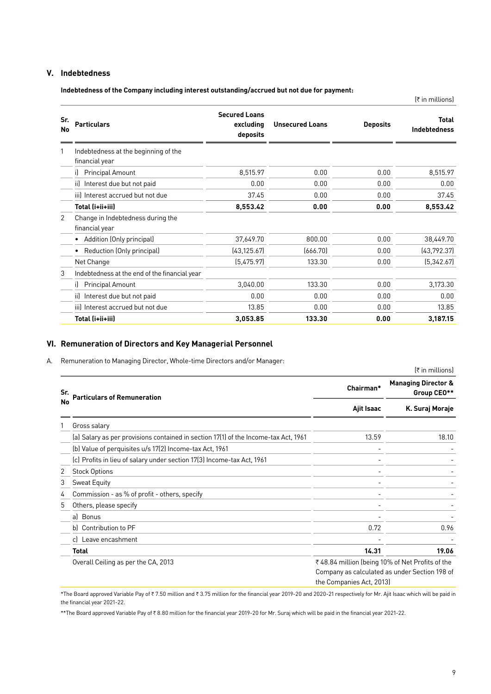### **V. Indebtedness**

**Indebtedness of the Company including interest outstanding/accrued but not due for payment:**

|           |                                                        |                                               |                        |                 | $[π$ in millions]     |
|-----------|--------------------------------------------------------|-----------------------------------------------|------------------------|-----------------|-----------------------|
| Sr.<br>No | <b>Particulars</b>                                     | <b>Secured Loans</b><br>excluding<br>deposits | <b>Unsecured Loans</b> | <b>Deposits</b> | Total<br>Indebtedness |
| 1         | Indebtedness at the beginning of the<br>financial year |                                               |                        |                 |                       |
|           | <b>Principal Amount</b><br>il.                         | 8,515.97                                      | 0.00                   | 0.00            | 8,515.97              |
|           | Interest due but not paid<br>iil                       | 0.00                                          | 0.00                   | 0.00            | 0.00                  |
|           | iii) Interest accrued but not due                      | 37.45                                         | 0.00                   | 0.00            | 37.45                 |
|           | Total (i+ii+iii)                                       | 8,553.42                                      | 0.00                   | 0.00            | 8,553.42              |
| 2         | Change in Indebtedness during the<br>financial year    |                                               |                        |                 |                       |
|           | Addition (Only principal)<br>٠                         | 37,649.70                                     | 800.00                 | 0.00            | 38,449.70             |
|           | Reduction (Only principal)<br>٠                        | [43, 125.67]                                  | (666.70)               | 0.00            | (43, 792.37)          |
|           | Net Change                                             | (5,475.97)                                    | 133.30                 | 0.00            | (5, 342.67)           |
| 3         | Indebtedness at the end of the financial year          |                                               |                        |                 |                       |
|           | <b>Principal Amount</b><br>il.                         | 3,040.00                                      | 133.30                 | 0.00            | 3,173.30              |
|           | Interest due but not paid<br>iil.                      | 0.00                                          | 0.00                   | 0.00            | 0.00                  |
|           | iii) Interest accrued but not due                      | 13.85                                         | 0.00                   | 0.00            | 13.85                 |
|           | Total (i+ii+iii)                                       | 3,053.85                                      | 133.30                 | 0.00            | 3,187.15              |

# **VI. Remuneration of Directors and Key Managerial Personnel**

A. Remuneration to Managing Director, Whole-time Directors and/or Manager:

|     |                                                                                     |                                                                              | $[π$ in millions]                             |  |
|-----|-------------------------------------------------------------------------------------|------------------------------------------------------------------------------|-----------------------------------------------|--|
| Sr. | <b>Particulars of Remuneration</b>                                                  | Chairman*                                                                    | <b>Managing Director &amp;</b><br>Group CEO** |  |
| No  |                                                                                     | Ajit Isaac                                                                   | K. Suraj Moraje                               |  |
|     | Gross salary                                                                        |                                                                              |                                               |  |
|     | (a) Salary as per provisions contained in section 17(1) of the Income-tax Act, 1961 | 13.59                                                                        | 18.10                                         |  |
|     | (b) Value of perquisites u/s 17(2) Income-tax Act, 1961                             |                                                                              |                                               |  |
|     | (c) Profits in lieu of salary under section 17(3) Income-tax Act, 1961              |                                                                              |                                               |  |
| 2   | <b>Stock Options</b>                                                                |                                                                              |                                               |  |
| 3   | <b>Sweat Equity</b>                                                                 |                                                                              |                                               |  |
| 4   | Commission - as % of profit - others, specify                                       |                                                                              |                                               |  |
| 5   | Others, please specify                                                              |                                                                              |                                               |  |
|     | al Bonus                                                                            |                                                                              |                                               |  |
|     | b) Contribution to PF                                                               | 0.72                                                                         | 0.96                                          |  |
|     | c) Leave encashment                                                                 |                                                                              |                                               |  |
|     | <b>Total</b>                                                                        | 14.31                                                                        | 19.06                                         |  |
|     | Overall Ceiling as per the CA, 2013                                                 | ₹ 48.84 million (being 10% of Net Profits of the<br>the Companies Act, 2013) | Company as calculated as under Section 198 of |  |

\*The Board approved Variable Pay of ₹7.50 million and ₹3.75 million for the financial year 2019-20 and 2020-21 respectively for Mr. Ajit Isaac which will be paid in the financial year 2021-22.

\*\*The Board approved Variable Pay of ₹8.80 million for the financial year 2019-20 for Mr. Suraj which will be paid in the financial year 2021-22.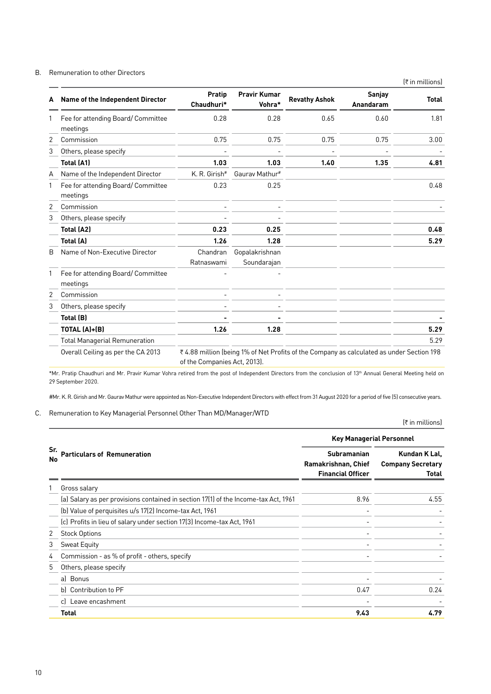#### B. Remuneration to other Directors

|   |                                               |                              |                               |                                                                                          |                     | (₹ in millions) |
|---|-----------------------------------------------|------------------------------|-------------------------------|------------------------------------------------------------------------------------------|---------------------|-----------------|
| A | Name of the Independent Director              | Pratip<br>Chaudhuri*         | <b>Pravir Kumar</b><br>Vohra* | <b>Revathy Ashok</b>                                                                     | Sanjay<br>Anandaram | <b>Total</b>    |
|   | Fee for attending Board/Committee<br>meetings | 0.28                         | 0.28                          | 0.65                                                                                     | 0.60                | 1.81            |
| 2 | Commission                                    | 0.75                         | 0.75                          | 0.75                                                                                     | 0.75                | 3.00            |
| 3 | Others, please specify                        |                              |                               |                                                                                          |                     |                 |
|   | <b>Total (A1)</b>                             | 1.03                         | 1.03                          | 1.40                                                                                     | 1.35                | 4.81            |
| A | Name of the Independent Director              | K. R. Girish#                | Gaurav Mathur#                |                                                                                          |                     |                 |
| 1 | Fee for attending Board/Committee<br>meetings | 0.23                         | 0.25                          |                                                                                          |                     | 0.48            |
| 2 | Commission                                    |                              |                               |                                                                                          |                     |                 |
| 3 | Others, please specify                        |                              |                               |                                                                                          |                     |                 |
|   | <b>Total (A2)</b>                             | 0.23                         | 0.25                          |                                                                                          |                     | 0.48            |
|   | <b>Total (A)</b>                              | 1.26                         | 1.28                          |                                                                                          |                     | 5.29            |
| B | Name of Non-Executive Director                | Chandran<br>Ratnaswami       | Gopalakrishnan<br>Soundarajan |                                                                                          |                     |                 |
| 1 | Fee for attending Board/Committee<br>meetings |                              |                               |                                                                                          |                     |                 |
| 2 | Commission                                    |                              |                               |                                                                                          |                     |                 |
| 3 | Others, please specify                        |                              |                               |                                                                                          |                     |                 |
|   | Total (B)                                     |                              |                               |                                                                                          |                     |                 |
|   | TOTAL (A)+(B)                                 | 1.26                         | 1.28                          |                                                                                          |                     | 5.29            |
|   | <b>Total Managerial Remuneration</b>          |                              |                               |                                                                                          |                     | 5.29            |
|   | Overall Ceiling as per the CA 2013            | of the Companies Act, 2013). |                               | ₹4.88 million (being 1% of Net Profits of the Company as calculated as under Section 198 |                     |                 |

\*Mr. Pratip Chaudhuri and Mr. Pravir Kumar Vohra retired from the post of Independent Directors from the conclusion of 13th Annual General Meeting held on 29 September 2020.

#Mr. K. R. Girish and Mr. Gaurav Mathur were appointed as Non-Executive Independent Directors with effect from 31 August 2020 for a period of five (5) consecutive years.

#### C. Remuneration to Key Managerial Personnel Other Than MD/Manager/WTD

(₹ in millions)

|           |                                                                                     | <b>Key Managerial Personnel</b>                                       |                                                    |  |  |
|-----------|-------------------------------------------------------------------------------------|-----------------------------------------------------------------------|----------------------------------------------------|--|--|
| Sr.<br>No | <b>Particulars of Remuneration</b>                                                  | <b>Subramanian</b><br>Ramakrishnan, Chief<br><b>Financial Officer</b> | Kundan K Lal,<br><b>Company Secretary</b><br>Total |  |  |
| 1         | Gross salary                                                                        |                                                                       |                                                    |  |  |
|           | (a) Salary as per provisions contained in section 17(1) of the Income-tax Act, 1961 | 8.96                                                                  | 4.55                                               |  |  |
|           | (b) Value of perquisites u/s 17(2) Income-tax Act, 1961                             |                                                                       |                                                    |  |  |
|           | (c) Profits in lieu of salary under section 17(3) Income-tax Act, 1961              |                                                                       |                                                    |  |  |
| 2         | <b>Stock Options</b>                                                                |                                                                       |                                                    |  |  |
| 3         | Sweat Equity                                                                        |                                                                       |                                                    |  |  |
| 4         | Commission - as % of profit - others, specify                                       |                                                                       |                                                    |  |  |
| 5         | Others, please specify                                                              |                                                                       |                                                    |  |  |
|           | a) Bonus                                                                            |                                                                       |                                                    |  |  |
|           | b) Contribution to PF                                                               | 0.47                                                                  | 0.24                                               |  |  |
|           | c) Leave encashment                                                                 |                                                                       |                                                    |  |  |
|           | Total                                                                               | 9.43                                                                  | 4.79                                               |  |  |